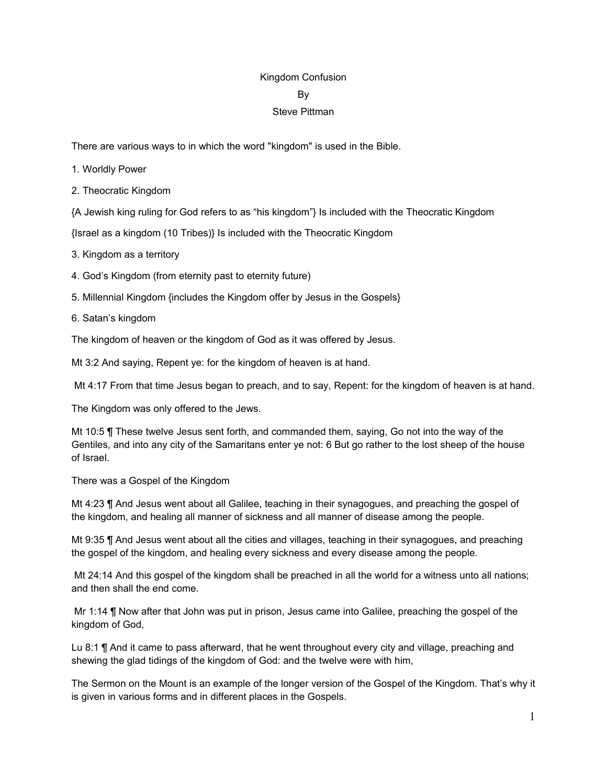## Kingdom Confusion

#### By

## Steve Pittman

There are various ways to in which the word "kingdom" is used in the Bible.

- 1. Worldly Power
- 2. Theocratic Kingdom

{A Jewish king ruling for God refers to as "his kingdom"} Is included with the Theocratic Kingdom

{Israel as a kingdom (10 Tribes)} Is included with the Theocratic Kingdom

- 3. Kingdom as a territory
- 4. God's Kingdom (from eternity past to eternity future)
- 5. Millennial Kingdom {includes the Kingdom offer by Jesus in the Gospels}
- 6. Satan's kingdom

The kingdom of heaven or the kingdom of God as it was offered by Jesus.

Mt 3:2 And saying, Repent ye: for the kingdom of heaven is at hand.

Mt 4:17 From that time Jesus began to preach, and to say, Repent: for the kingdom of heaven is at hand.

The Kingdom was only offered to the Jews.

Mt 10:5 ¶ These twelve Jesus sent forth, and commanded them, saying, Go not into the way of the Gentiles, and into any city of the Samaritans enter ye not: 6 But go rather to the lost sheep of the house of Israel.

There was a Gospel of the Kingdom

Mt 4:23 ¶ And Jesus went about all Galilee, teaching in their synagogues, and preaching the gospel of the kingdom, and healing all manner of sickness and all manner of disease among the people.

Mt 9:35 ¶ And Jesus went about all the cities and villages, teaching in their synagogues, and preaching the gospel of the kingdom, and healing every sickness and every disease among the people.

Mt 24:14 And this gospel of the kingdom shall be preached in all the world for a witness unto all nations; and then shall the end come.

Mr 1:14 ¶ Now after that John was put in prison, Jesus came into Galilee, preaching the gospel of the kingdom of God,

Lu 8:1 ¶ And it came to pass afterward, that he went throughout every city and village, preaching and shewing the glad tidings of the kingdom of God: and the twelve were with him,

The Sermon on the Mount is an example of the longer version of the Gospel of the Kingdom. That's why it is given in various forms and in different places in the Gospels.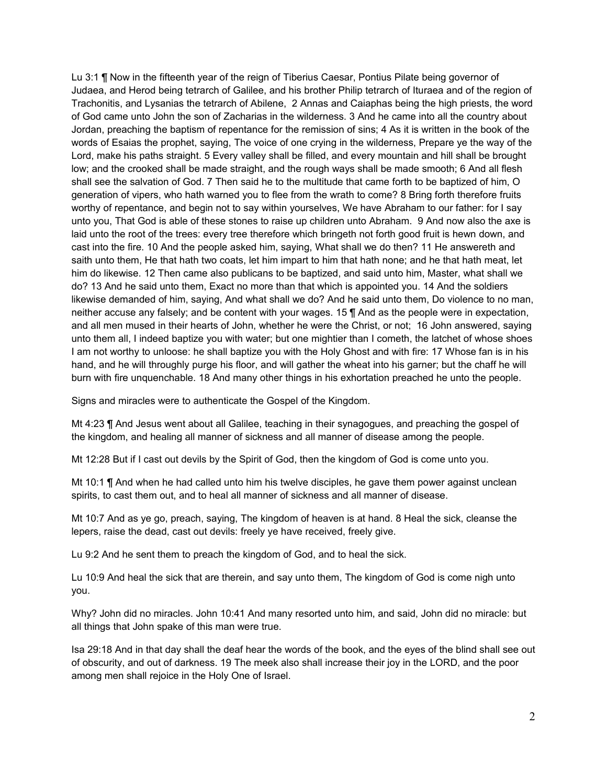Lu 3:1 ¶ Now in the fifteenth year of the reign of Tiberius Caesar, Pontius Pilate being governor of Judaea, and Herod being tetrarch of Galilee, and his brother Philip tetrarch of Ituraea and of the region of Trachonitis, and Lysanias the tetrarch of Abilene, 2 Annas and Caiaphas being the high priests, the word of God came unto John the son of Zacharias in the wilderness. 3 And he came into all the country about Jordan, preaching the baptism of repentance for the remission of sins; 4 As it is written in the book of the words of Esaias the prophet, saying, The voice of one crying in the wilderness, Prepare ye the way of the Lord, make his paths straight. 5 Every valley shall be filled, and every mountain and hill shall be brought low; and the crooked shall be made straight, and the rough ways shall be made smooth; 6 And all flesh shall see the salvation of God. 7 Then said he to the multitude that came forth to be baptized of him, O generation of vipers, who hath warned you to flee from the wrath to come? 8 Bring forth therefore fruits worthy of repentance, and begin not to say within yourselves, We have Abraham to our father: for I say unto you, That God is able of these stones to raise up children unto Abraham. 9 And now also the axe is laid unto the root of the trees: every tree therefore which bringeth not forth good fruit is hewn down, and cast into the fire. 10 And the people asked him, saying, What shall we do then? 11 He answereth and saith unto them, He that hath two coats, let him impart to him that hath none; and he that hath meat, let him do likewise. 12 Then came also publicans to be baptized, and said unto him, Master, what shall we do? 13 And he said unto them, Exact no more than that which is appointed you. 14 And the soldiers likewise demanded of him, saying, And what shall we do? And he said unto them, Do violence to no man, neither accuse any falsely; and be content with your wages. 15 ¶ And as the people were in expectation, and all men mused in their hearts of John, whether he were the Christ, or not; 16 John answered, saying unto them all, I indeed baptize you with water; but one mightier than I cometh, the latchet of whose shoes I am not worthy to unloose: he shall baptize you with the Holy Ghost and with fire: 17 Whose fan is in his hand, and he will throughly purge his floor, and will gather the wheat into his garner; but the chaff he will burn with fire unquenchable. 18 And many other things in his exhortation preached he unto the people.

Signs and miracles were to authenticate the Gospel of the Kingdom.

Mt 4:23 ¶ And Jesus went about all Galilee, teaching in their synagogues, and preaching the gospel of the kingdom, and healing all manner of sickness and all manner of disease among the people.

Mt 12:28 But if I cast out devils by the Spirit of God, then the kingdom of God is come unto you.

Mt 10:1 ¶ And when he had called unto him his twelve disciples, he gave them power against unclean spirits, to cast them out, and to heal all manner of sickness and all manner of disease.

Mt 10:7 And as ye go, preach, saying, The kingdom of heaven is at hand. 8 Heal the sick, cleanse the lepers, raise the dead, cast out devils: freely ye have received, freely give.

Lu 9:2 And he sent them to preach the kingdom of God, and to heal the sick.

Lu 10:9 And heal the sick that are therein, and say unto them, The kingdom of God is come nigh unto you.

Why? John did no miracles. John 10:41 And many resorted unto him, and said, John did no miracle: but all things that John spake of this man were true.

Isa 29:18 And in that day shall the deaf hear the words of the book, and the eyes of the blind shall see out of obscurity, and out of darkness. 19 The meek also shall increase their joy in the LORD, and the poor among men shall rejoice in the Holy One of Israel.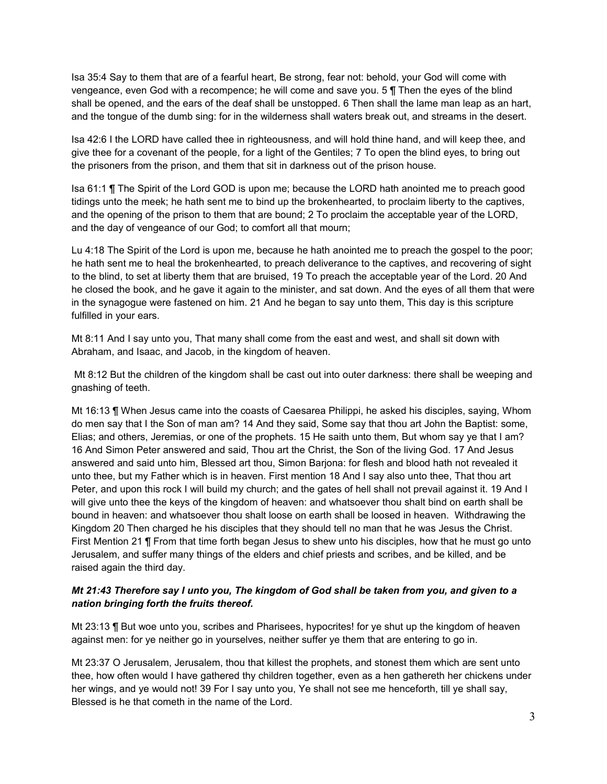Isa 35:4 Say to them that are of a fearful heart, Be strong, fear not: behold, your God will come with vengeance, even God with a recompence; he will come and save you. 5 ¶ Then the eyes of the blind shall be opened, and the ears of the deaf shall be unstopped. 6 Then shall the lame man leap as an hart, and the tongue of the dumb sing: for in the wilderness shall waters break out, and streams in the desert.

Isa 42:6 I the LORD have called thee in righteousness, and will hold thine hand, and will keep thee, and give thee for a covenant of the people, for a light of the Gentiles; 7 To open the blind eyes, to bring out the prisoners from the prison, and them that sit in darkness out of the prison house.

Isa 61:1 ¶ The Spirit of the Lord GOD is upon me; because the LORD hath anointed me to preach good tidings unto the meek; he hath sent me to bind up the brokenhearted, to proclaim liberty to the captives, and the opening of the prison to them that are bound; 2 To proclaim the acceptable year of the LORD, and the day of vengeance of our God; to comfort all that mourn;

Lu 4:18 The Spirit of the Lord is upon me, because he hath anointed me to preach the gospel to the poor; he hath sent me to heal the brokenhearted, to preach deliverance to the captives, and recovering of sight to the blind, to set at liberty them that are bruised, 19 To preach the acceptable year of the Lord. 20 And he closed the book, and he gave it again to the minister, and sat down. And the eyes of all them that were in the synagogue were fastened on him. 21 And he began to say unto them, This day is this scripture fulfilled in your ears.

Mt 8:11 And I say unto you, That many shall come from the east and west, and shall sit down with Abraham, and Isaac, and Jacob, in the kingdom of heaven.

Mt 8:12 But the children of the kingdom shall be cast out into outer darkness: there shall be weeping and gnashing of teeth.

Mt 16:13 ¶ When Jesus came into the coasts of Caesarea Philippi, he asked his disciples, saying, Whom do men say that I the Son of man am? 14 And they said, Some say that thou art John the Baptist: some, Elias; and others, Jeremias, or one of the prophets. 15 He saith unto them, But whom say ye that I am? 16 And Simon Peter answered and said, Thou art the Christ, the Son of the living God. 17 And Jesus answered and said unto him, Blessed art thou, Simon Barjona: for flesh and blood hath not revealed it unto thee, but my Father which is in heaven. First mention 18 And I say also unto thee, That thou art Peter, and upon this rock I will build my church; and the gates of hell shall not prevail against it. 19 And I will give unto thee the keys of the kingdom of heaven: and whatsoever thou shalt bind on earth shall be bound in heaven: and whatsoever thou shalt loose on earth shall be loosed in heaven. Withdrawing the Kingdom 20 Then charged he his disciples that they should tell no man that he was Jesus the Christ. First Mention 21 ¶ From that time forth began Jesus to shew unto his disciples, how that he must go unto Jerusalem, and suffer many things of the elders and chief priests and scribes, and be killed, and be raised again the third day.

## Mt 21:43 Therefore say I unto you. The kingdom of God shall be taken from you, and given to a *nation bringing forth the fruits thereof.*

Mt 23:13 ¶ But woe unto you, scribes and Pharisees, hypocrites! for ye shut up the kingdom of heaven against men: for ye neither go in yourselves, neither suffer ye them that are entering to go in.

Mt 23:37 O Jerusalem, Jerusalem, thou that killest the prophets, and stonest them which are sent unto thee, how often would I have gathered thy children together, even as a hen gathereth her chickens under her wings, and ye would not! 39 For I say unto you, Ye shall not see me henceforth, till ye shall say, Blessed is he that cometh in the name of the Lord.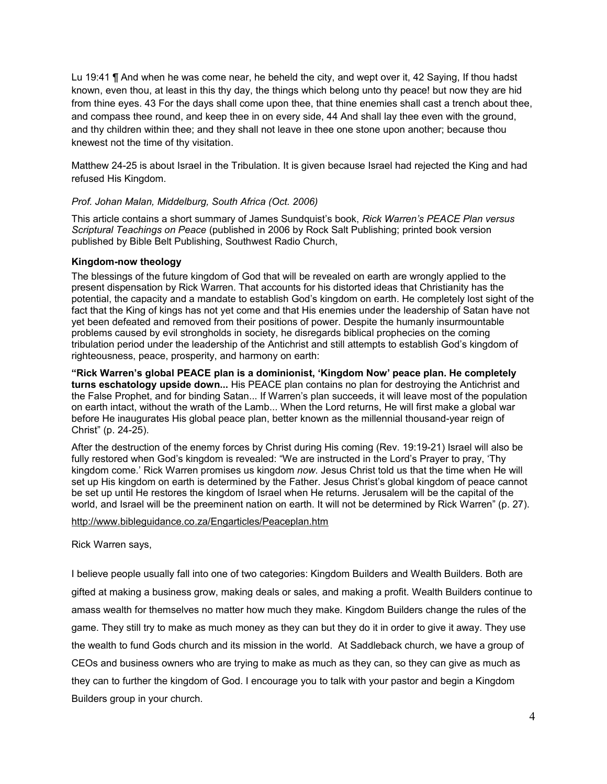Lu 19:41 ¶ And when he was come near, he beheld the city, and wept over it, 42 Saying, If thou hadst known, even thou, at least in this thy day, the things which belong unto thy peace! but now they are hid from thine eyes. 43 For the days shall come upon thee, that thine enemies shall cast a trench about thee, and compass thee round, and keep thee in on every side, 44 And shall lay thee even with the ground, and thy children within thee; and they shall not leave in thee one stone upon another; because thou knewest not the time of thy visitation.

Matthew 24-25 is about Israel in the Tribulation. It is given because Israel had rejected the King and had refused His Kingdom.

#### *Prof. Johan Malan, Middelburg, South Africa (Oct. 2006)*

This article contains a short summary of James Sundquist's book, *Rick Warren's PEACE Plan versus Scriptural Teachings on Peace* (published in 2006 by Rock Salt Publishing; printed book version published by Bible Belt Publishing, Southwest Radio Church,

#### **Kingdom-now theology**

The blessings of the future kingdom of God that will be revealed on earth are wrongly applied to the present dispensation by Rick Warren. That accounts for his distorted ideas that Christianity has the potential, the capacity and a mandate to establish God's kingdom on earth. He completely lost sight of the fact that the King of kings has not yet come and that His enemies under the leadership of Satan have not yet been defeated and removed from their positions of power. Despite the humanly insurmountable problems caused by evil strongholds in society, he disregards biblical prophecies on the coming tribulation period under the leadership of the Antichrist and still attempts to establish God's kingdom of righteousness, peace, prosperity, and harmony on earth:

**"Rick Warren's global PEACE plan is a dominionist, 'Kingdom Now' peace plan. He completely turns eschatology upside down...** His PEACE plan contains no plan for destroying the Antichrist and the False Prophet, and for binding Satan... If Warren's plan succeeds, it will leave most of the population on earth intact, without the wrath of the Lamb... When the Lord returns, He will first make a global war before He inaugurates His global peace plan, better known as the millennial thousand-year reign of Christ" (p. 24-25).

After the destruction of the enemy forces by Christ during His coming (Rev. 19:19-21) Israel will also be fully restored when God's kingdom is revealed: "We are instructed in the Lord's Prayer to pray, 'Thy kingdom come.' Rick Warren promises us kingdom *now.* Jesus Christ told us that the time when He will set up His kingdom on earth is determined by the Father. Jesus Christ's global kingdom of peace cannot be set up until He restores the kingdom of Israel when He returns. Jerusalem will be the capital of the world, and Israel will be the preeminent nation on earth. It will not be determined by Rick Warren" (p. 27).

#### <http://www.bibleguidance.co.za/Engarticles/Peaceplan.htm>

Rick Warren says,

I believe people usually fall into one of two categories: Kingdom Builders and Wealth Builders. Both are gifted at making a business grow, making deals or sales, and making a profit. Wealth Builders continue to amass wealth for themselves no matter how much they make. Kingdom Builders change the rules of the game. They still try to make as much money as they can but they do it in order to give it away. They use the wealth to fund Gods church and its mission in the world. At Saddleback church, we have a group of CEOs and business owners who are trying to make as much as they can, so they can give as much as they can to further the kingdom of God. I encourage you to talk with your pastor and begin a Kingdom Builders group in your church.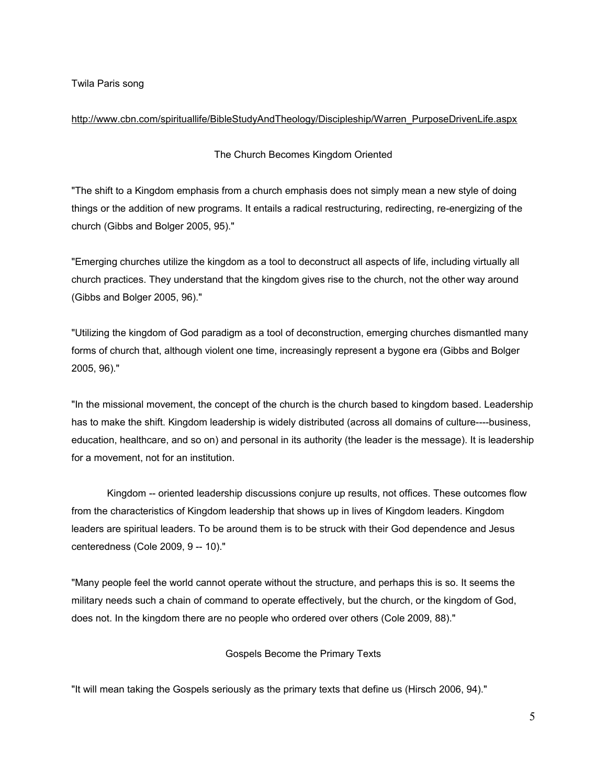Twila Paris song

## [http://www.cbn.com/spirituallife/BibleStudyAndTheology/Discipleship/Warren\\_PurposeDrivenLife.aspx](http://www.cbn.com/spirituallife/BibleStudyAndTheology/Discipleship/Warren_PurposeDrivenLife.aspx)

## The Church Becomes Kingdom Oriented

"The shift to a Kingdom emphasis from a church emphasis does not simply mean a new style of doing things or the addition of new programs. It entails a radical restructuring, redirecting, re-energizing of the church (Gibbs and Bolger 2005, 95)."

"Emerging churches utilize the kingdom as a tool to deconstruct all aspects of life, including virtually all church practices. They understand that the kingdom gives rise to the church, not the other way around (Gibbs and Bolger 2005, 96)."

"Utilizing the kingdom of God paradigm as a tool of deconstruction, emerging churches dismantled many forms of church that, although violent one time, increasingly represent a bygone era (Gibbs and Bolger 2005, 96)."

"In the missional movement, the concept of the church is the church based to kingdom based. Leadership has to make the shift. Kingdom leadership is widely distributed (across all domains of culture----business, education, healthcare, and so on) and personal in its authority (the leader is the message). It is leadership for a movement, not for an institution.

Kingdom -- oriented leadership discussions conjure up results, not offices. These outcomes flow from the characteristics of Kingdom leadership that shows up in lives of Kingdom leaders. Kingdom leaders are spiritual leaders. To be around them is to be struck with their God dependence and Jesus centeredness (Cole 2009, 9 -- 10)."

"Many people feel the world cannot operate without the structure, and perhaps this is so. It seems the military needs such a chain of command to operate effectively, but the church, or the kingdom of God, does not. In the kingdom there are no people who ordered over others (Cole 2009, 88)."

# Gospels Become the Primary Texts

"It will mean taking the Gospels seriously as the primary texts that define us (Hirsch 2006, 94)."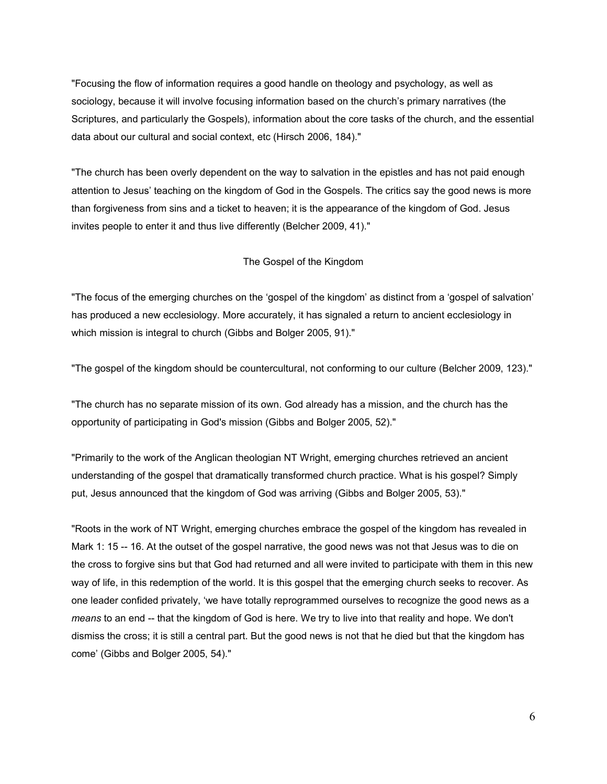"Focusing the flow of information requires a good handle on theology and psychology, as well as sociology, because it will involve focusing information based on the church's primary narratives (the Scriptures, and particularly the Gospels), information about the core tasks of the church, and the essential data about our cultural and social context, etc (Hirsch 2006, 184)."

"The church has been overly dependent on the way to salvation in the epistles and has not paid enough attention to Jesus' teaching on the kingdom of God in the Gospels. The critics say the good news is more than forgiveness from sins and a ticket to heaven; it is the appearance of the kingdom of God. Jesus invites people to enter it and thus live differently (Belcher 2009, 41)."

#### The Gospel of the Kingdom

"The focus of the emerging churches on the 'gospel of the kingdom' as distinct from a 'gospel of salvation' has produced a new ecclesiology. More accurately, it has signaled a return to ancient ecclesiology in which mission is integral to church (Gibbs and Bolger 2005, 91)."

"The gospel of the kingdom should be countercultural, not conforming to our culture (Belcher 2009, 123)."

"The church has no separate mission of its own. God already has a mission, and the church has the opportunity of participating in God's mission (Gibbs and Bolger 2005, 52)."

"Primarily to the work of the Anglican theologian NT Wright, emerging churches retrieved an ancient understanding of the gospel that dramatically transformed church practice. What is his gospel? Simply put, Jesus announced that the kingdom of God was arriving (Gibbs and Bolger 2005, 53)."

"Roots in the work of NT Wright, emerging churches embrace the gospel of the kingdom has revealed in Mark 1: 15 -- 16. At the outset of the gospel narrative, the good news was not that Jesus was to die on the cross to forgive sins but that God had returned and all were invited to participate with them in this new way of life, in this redemption of the world. It is this gospel that the emerging church seeks to recover. As one leader confided privately, 'we have totally reprogrammed ourselves to recognize the good news as a *means* to an end -- that the kingdom of God is here. We try to live into that reality and hope. We don't dismiss the cross; it is still a central part. But the good news is not that he died but that the kingdom has come' (Gibbs and Bolger 2005, 54)."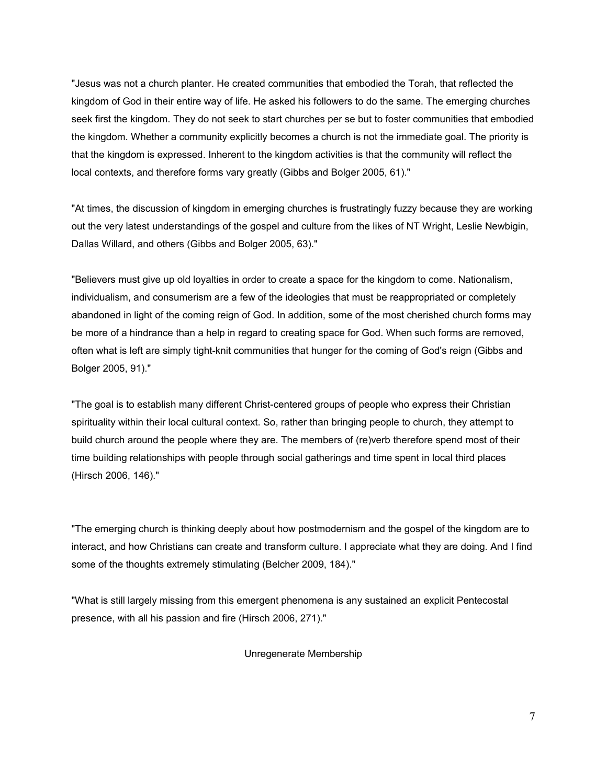"Jesus was not a church planter. He created communities that embodied the Torah, that reflected the kingdom of God in their entire way of life. He asked his followers to do the same. The emerging churches seek first the kingdom. They do not seek to start churches per se but to foster communities that embodied the kingdom. Whether a community explicitly becomes a church is not the immediate goal. The priority is that the kingdom is expressed. Inherent to the kingdom activities is that the community will reflect the local contexts, and therefore forms vary greatly (Gibbs and Bolger 2005, 61)."

"At times, the discussion of kingdom in emerging churches is frustratingly fuzzy because they are working out the very latest understandings of the gospel and culture from the likes of NT Wright, Leslie Newbigin, Dallas Willard, and others (Gibbs and Bolger 2005, 63)."

"Believers must give up old loyalties in order to create a space for the kingdom to come. Nationalism, individualism, and consumerism are a few of the ideologies that must be reappropriated or completely abandoned in light of the coming reign of God. In addition, some of the most cherished church forms may be more of a hindrance than a help in regard to creating space for God. When such forms are removed, often what is left are simply tight-knit communities that hunger for the coming of God's reign (Gibbs and Bolger 2005, 91)."

"The goal is to establish many different Christ-centered groups of people who express their Christian spirituality within their local cultural context. So, rather than bringing people to church, they attempt to build church around the people where they are. The members of (re)verb therefore spend most of their time building relationships with people through social gatherings and time spent in local third places (Hirsch 2006, 146)."

"The emerging church is thinking deeply about how postmodernism and the gospel of the kingdom are to interact, and how Christians can create and transform culture. I appreciate what they are doing. And I find some of the thoughts extremely stimulating (Belcher 2009, 184)."

"What is still largely missing from this emergent phenomena is any sustained an explicit Pentecostal presence, with all his passion and fire (Hirsch 2006, 271)."

Unregenerate Membership